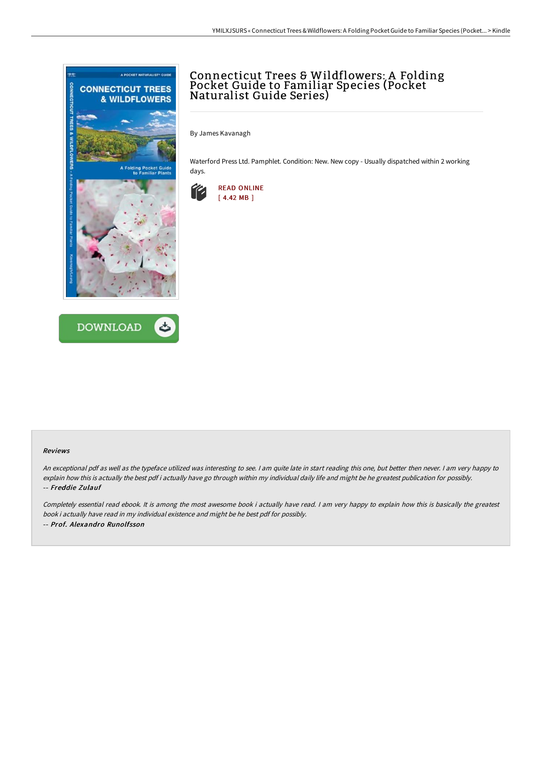



# Connecticut Trees & Wildflowers: A Folding Pocket Guide to Familiar Species (Pocket Naturalist Guide Series)

By James Kavanagh

Waterford Press Ltd. Pamphlet. Condition: New. New copy - Usually dispatched within 2 working days.



#### Reviews

An exceptional pdf as well as the typeface utilized was interesting to see. I am quite late in start reading this one, but better then never. I am very happy to explain how this is actually the best pdf i actually have go through within my individual daily life and might be he greatest publication for possibly. -- Freddie Zulauf

Completely essential read ebook. It is among the most awesome book i actually have read. I am very happy to explain how this is basically the greatest book i actually have read in my individual existence and might be he best pdf for possibly. -- Prof. Alexandro Runolfsson